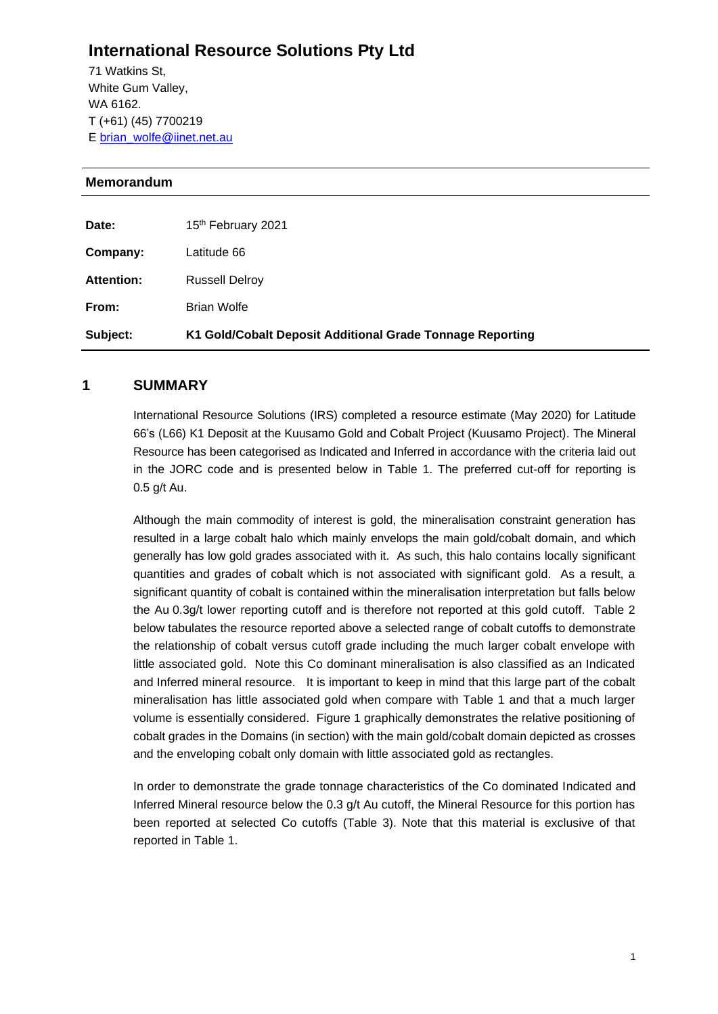## **International Resource Solutions Pty Ltd**

71 Watkins St, White Gum Valley, WA 6162. T (+61) (45) 7700219 E [brian\\_wolfe@iinet.net.au](mailto:brian_wolfe@iinet.net.au)

## **Memorandum**

| Subject:   | K1 Gold/Cobalt Deposit Additional Grade Tonnage Reporting |
|------------|-----------------------------------------------------------|
| From:      | <b>Brian Wolfe</b>                                        |
| Attention: | <b>Russell Delroy</b>                                     |
| Company:   | Latitude 66                                               |
| Date:      | 15 <sup>th</sup> February 2021                            |

## **1 SUMMARY**

International Resource Solutions (IRS) completed a resource estimate (May 2020) for Latitude 66's (L66) K1 Deposit at the Kuusamo Gold and Cobalt Project (Kuusamo Project). The Mineral Resource has been categorised as Indicated and Inferred in accordance with the criteria laid out in the JORC code and is presented below in Table 1. The preferred cut-off for reporting is 0.5 g/t Au.

Although the main commodity of interest is gold, the mineralisation constraint generation has resulted in a large cobalt halo which mainly envelops the main gold/cobalt domain, and which generally has low gold grades associated with it. As such, this halo contains locally significant quantities and grades of cobalt which is not associated with significant gold. As a result, a significant quantity of cobalt is contained within the mineralisation interpretation but falls below the Au 0.3g/t lower reporting cutoff and is therefore not reported at this gold cutoff. Table 2 below tabulates the resource reported above a selected range of cobalt cutoffs to demonstrate the relationship of cobalt versus cutoff grade including the much larger cobalt envelope with little associated gold. Note this Co dominant mineralisation is also classified as an Indicated and Inferred mineral resource. It is important to keep in mind that this large part of the cobalt mineralisation has little associated gold when compare with Table 1 and that a much larger volume is essentially considered. Figure 1 graphically demonstrates the relative positioning of cobalt grades in the Domains (in section) with the main gold/cobalt domain depicted as crosses and the enveloping cobalt only domain with little associated gold as rectangles.

In order to demonstrate the grade tonnage characteristics of the Co dominated Indicated and Inferred Mineral resource below the 0.3 g/t Au cutoff, the Mineral Resource for this portion has been reported at selected Co cutoffs (Table 3). Note that this material is exclusive of that reported in Table 1.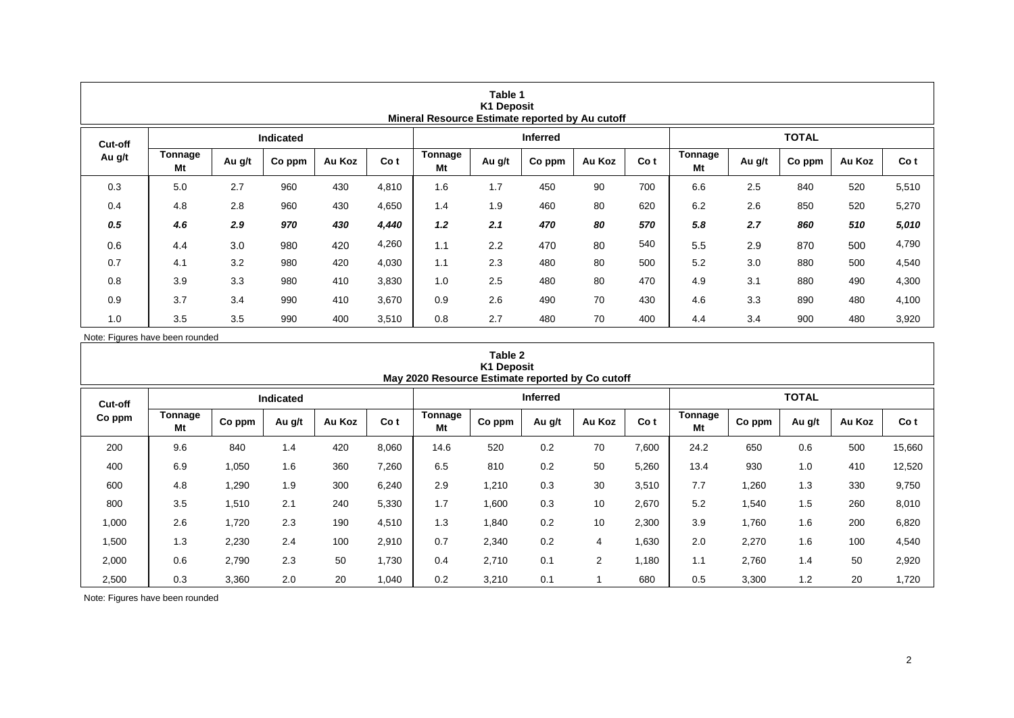| Table 1<br><b>K1 Deposit</b><br>Mineral Resource Estimate reported by Au cutoff |                  |        |        |        |       |                      |        |                 |        |      |               |        |        |        |       |  |
|---------------------------------------------------------------------------------|------------------|--------|--------|--------|-------|----------------------|--------|-----------------|--------|------|---------------|--------|--------|--------|-------|--|
| Cut-off                                                                         | <b>Indicated</b> |        |        |        |       |                      |        | <b>Inferred</b> |        |      | <b>TOTAL</b>  |        |        |        |       |  |
| Au g/t                                                                          | Tonnage<br>Mt    | Au g/t | Co ppm | Au Koz | Co t  | <b>Tonnage</b><br>Mt | Au g/t | Co ppm          | Au Koz | Co t | Tonnage<br>Mt | Au g/t | Co ppm | Au Koz | Co t  |  |
| 0.3                                                                             | 5.0              | 2.7    | 960    | 430    | 4,810 | 1.6                  | 1.7    | 450             | 90     | 700  | 6.6           | 2.5    | 840    | 520    | 5,510 |  |
| 0.4                                                                             | 4.8              | 2.8    | 960    | 430    | 4,650 | 1.4                  | 1.9    | 460             | 80     | 620  | 6.2           | 2.6    | 850    | 520    | 5,270 |  |
| 0.5                                                                             | 4.6              | 2.9    | 970    | 430    | 4,440 | 1.2                  | 2.1    | 470             | 80     | 570  | 5.8           | 2.7    | 860    | 510    | 5,010 |  |
| 0.6                                                                             | 4.4              | 3.0    | 980    | 420    | 4,260 | 1.1                  | 2.2    | 470             | 80     | 540  | 5.5           | 2.9    | 870    | 500    | 4,790 |  |
| 0.7                                                                             | 4.1              | 3.2    | 980    | 420    | 4,030 | 1.1                  | 2.3    | 480             | 80     | 500  | 5.2           | 3.0    | 880    | 500    | 4,540 |  |
| 0.8                                                                             | 3.9              | 3.3    | 980    | 410    | 3,830 | 1.0                  | 2.5    | 480             | 80     | 470  | 4.9           | 3.1    | 880    | 490    | 4,300 |  |
| 0.9                                                                             | 3.7              | 3.4    | 990    | 410    | 3,670 | 0.9                  | 2.6    | 490             | 70     | 430  | 4.6           | 3.3    | 890    | 480    | 4,100 |  |
| 1.0                                                                             | 3.5              | 3.5    | 990    | 400    | 3,510 | 0.8                  | 2.7    | 480             | 70     | 400  | 4.4           | 3.4    | 900    | 480    | 3,920 |  |

Note: Figures have been rounded

| Table 2<br><b>K1 Deposit</b><br>May 2020 Resource Estimate reported by Co cutoff |               |        |        |                 |       |               |              |        |                |       |               |        |        |        |        |
|----------------------------------------------------------------------------------|---------------|--------|--------|-----------------|-------|---------------|--------------|--------|----------------|-------|---------------|--------|--------|--------|--------|
| Cut-off                                                                          |               |        |        | <b>Inferred</b> |       |               | <b>TOTAL</b> |        |                |       |               |        |        |        |        |
| Co ppm                                                                           | Tonnage<br>Mt | Co ppm | Au g/t | Au Koz          | Co t  | Tonnage<br>Mt | Co ppm       | Au g/t | Au Koz         | Co t  | Tonnage<br>Mt | Co ppm | Au g/t | Au Koz | Co t   |
| 200                                                                              | 9.6           | 840    | 1.4    | 420             | 8,060 | 14.6          | 520          | 0.2    | 70             | 7,600 | 24.2          | 650    | 0.6    | 500    | 15,660 |
| 400                                                                              | 6.9           | 1,050  | 1.6    | 360             | 7,260 | 6.5           | 810          | 0.2    | 50             | 5,260 | 13.4          | 930    | 1.0    | 410    | 12,520 |
| 600                                                                              | 4.8           | 1,290  | 1.9    | 300             | 6,240 | 2.9           | 1,210        | 0.3    | 30             | 3,510 | 7.7           | 1,260  | 1.3    | 330    | 9,750  |
| 800                                                                              | 3.5           | 1,510  | 2.1    | 240             | 5,330 | 1.7           | 1,600        | 0.3    | 10             | 2,670 | 5.2           | 1,540  | 1.5    | 260    | 8,010  |
| 1,000                                                                            | 2.6           | 1,720  | 2.3    | 190             | 4,510 | 1.3           | 1,840        | 0.2    | 10             | 2,300 | 3.9           | 1,760  | 1.6    | 200    | 6,820  |
| 1,500                                                                            | 1.3           | 2,230  | 2.4    | 100             | 2,910 | 0.7           | 2,340        | 0.2    | 4              | 1,630 | 2.0           | 2,270  | 1.6    | 100    | 4,540  |
| 2,000                                                                            | 0.6           | 2,790  | 2.3    | 50              | 1,730 | 0.4           | 2,710        | 0.1    | $\overline{2}$ | 1,180 | 1.1           | 2,760  | 1.4    | 50     | 2,920  |
| 2,500                                                                            | 0.3           | 3,360  | 2.0    | 20              | 1,040 | 0.2           | 3,210        | 0.1    |                | 680   | 0.5           | 3,300  | 1.2    | 20     | 1,720  |

Note: Figures have been rounded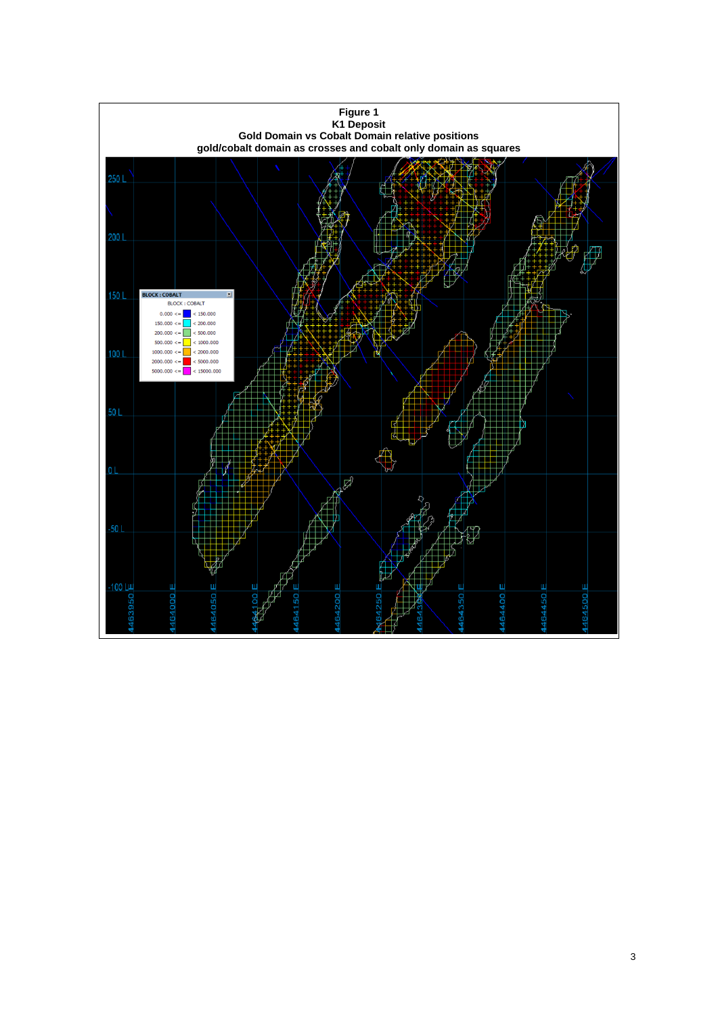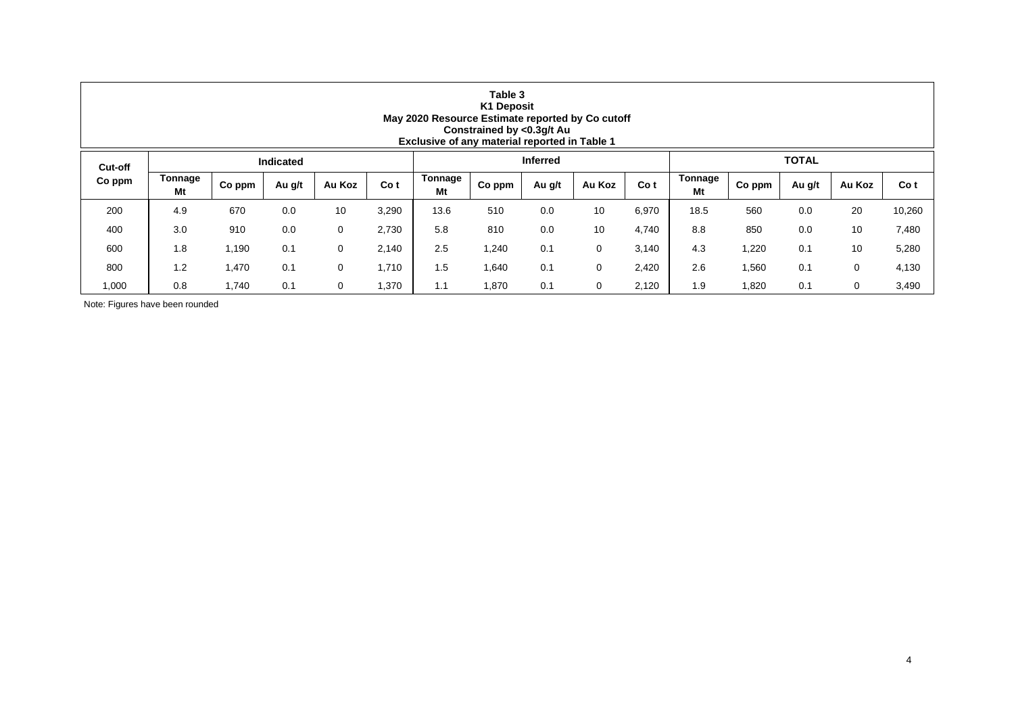| Table 3<br><b>K1 Deposit</b><br>May 2020 Resource Estimate reported by Co cutoff<br>Constrained by <0.3g/t Au<br>Exclusive of any material reported in Table 1 |                  |        |        |        |       |               |        |                 |        |       |               |        |        |        |        |  |
|----------------------------------------------------------------------------------------------------------------------------------------------------------------|------------------|--------|--------|--------|-------|---------------|--------|-----------------|--------|-------|---------------|--------|--------|--------|--------|--|
| Cut-off                                                                                                                                                        | <b>Indicated</b> |        |        |        |       |               |        | <b>Inferred</b> |        |       | <b>TOTAL</b>  |        |        |        |        |  |
| Co ppm                                                                                                                                                         | Tonnage<br>Mt    | Co ppm | Au g/t | Au Koz | Co t  | Tonnage<br>Mt | Co ppm | Au g/t          | Au Koz | Co t  | Tonnage<br>Mt | Co ppm | Au g/t | Au Koz | Co t   |  |
| 200                                                                                                                                                            | 4.9              | 670    | 0.0    | 10     | 3,290 | 13.6          | 510    | 0.0             | 10     | 6,970 | 18.5          | 560    | 0.0    | 20     | 10,260 |  |
| 400                                                                                                                                                            | 3.0              | 910    | 0.0    | 0      | 2,730 | 5.8           | 810    | 0.0             | 10     | 4,740 | 8.8           | 850    | 0.0    | 10     | 7,480  |  |
| 600                                                                                                                                                            | 1.8              | 1,190  | 0.1    | 0      | 2,140 | 2.5           | 1,240  | 0.1             | 0      | 3,140 | 4.3           | 1,220  | 0.1    | 10     | 5,280  |  |
| 800                                                                                                                                                            | 1.2              | 1,470  | 0.1    | 0      | 1,710 | 1.5           | 1,640  | 0.1             | 0      | 2,420 | 2.6           | 1,560  | 0.1    | 0      | 4,130  |  |
| 1,000                                                                                                                                                          | 0.8              | 1,740  | 0.1    | 0      | 1,370 | 1.1           | 1,870  | 0.1             | 0      | 2,120 | 1.9           | 1,820  | 0.1    | 0      | 3,490  |  |

Note: Figures have been rounded